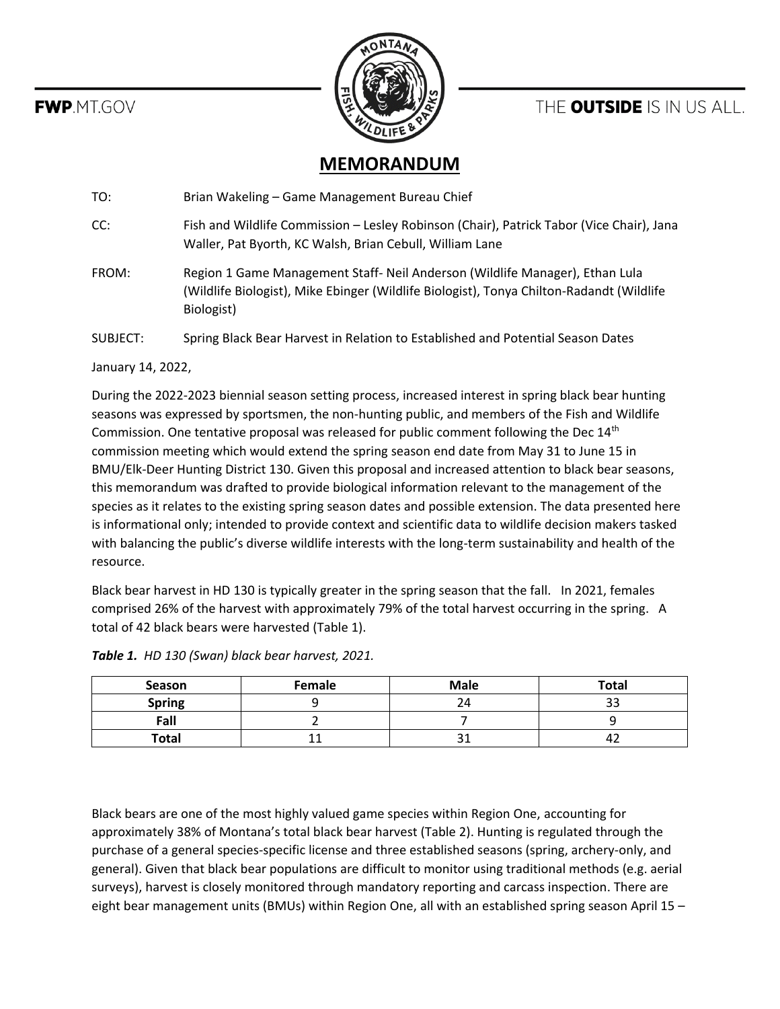**FWP.MT.GOV** 



## THE **OUTSIDE** IS IN US ALL.

## **MEMORANDUM**

TO: Brian Wakeling – Game Management Bureau Chief

CC: Fish and Wildlife Commission – Lesley Robinson (Chair), Patrick Tabor (Vice Chair), Jana Waller, Pat Byorth, KC Walsh, Brian Cebull, William Lane

FROM: Region 1 Game Management Staff- Neil Anderson (Wildlife Manager), Ethan Lula (Wildlife Biologist), Mike Ebinger (Wildlife Biologist), Tonya Chilton-Radandt (Wildlife Biologist)

SUBJECT: Spring Black Bear Harvest in Relation to Established and Potential Season Dates

## January 14, 2022,

During the 2022-2023 biennial season setting process, increased interest in spring black bear hunting seasons was expressed by sportsmen, the non-hunting public, and members of the Fish and Wildlife Commission. One tentative proposal was released for public comment following the Dec 14<sup>th</sup> commission meeting which would extend the spring season end date from May 31 to June 15 in BMU/Elk-Deer Hunting District 130. Given this proposal and increased attention to black bear seasons, this memorandum was drafted to provide biological information relevant to the management of the species as it relates to the existing spring season dates and possible extension. The data presented here is informational only; intended to provide context and scientific data to wildlife decision makers tasked with balancing the public's diverse wildlife interests with the long-term sustainability and health of the resource.

Black bear harvest in HD 130 is typically greater in the spring season that the fall. In 2021, females comprised 26% of the harvest with approximately 79% of the total harvest occurring in the spring. A total of 42 black bears were harvested (Table 1).

| Season        | Female | <b>Male</b> | <b>Total</b> |
|---------------|--------|-------------|--------------|
| <b>Spring</b> |        |             |              |
| Fall          |        |             |              |
| <b>Total</b>  |        | ر ب         |              |

*Table 1. HD 130 (Swan) black bear harvest, 2021.*

Black bears are one of the most highly valued game species within Region One, accounting for approximately 38% of Montana's total black bear harvest (Table 2). Hunting is regulated through the purchase of a general species-specific license and three established seasons (spring, archery-only, and general). Given that black bear populations are difficult to monitor using traditional methods (e.g. aerial surveys), harvest is closely monitored through mandatory reporting and carcass inspection. There are eight bear management units (BMUs) within Region One, all with an established spring season April 15 –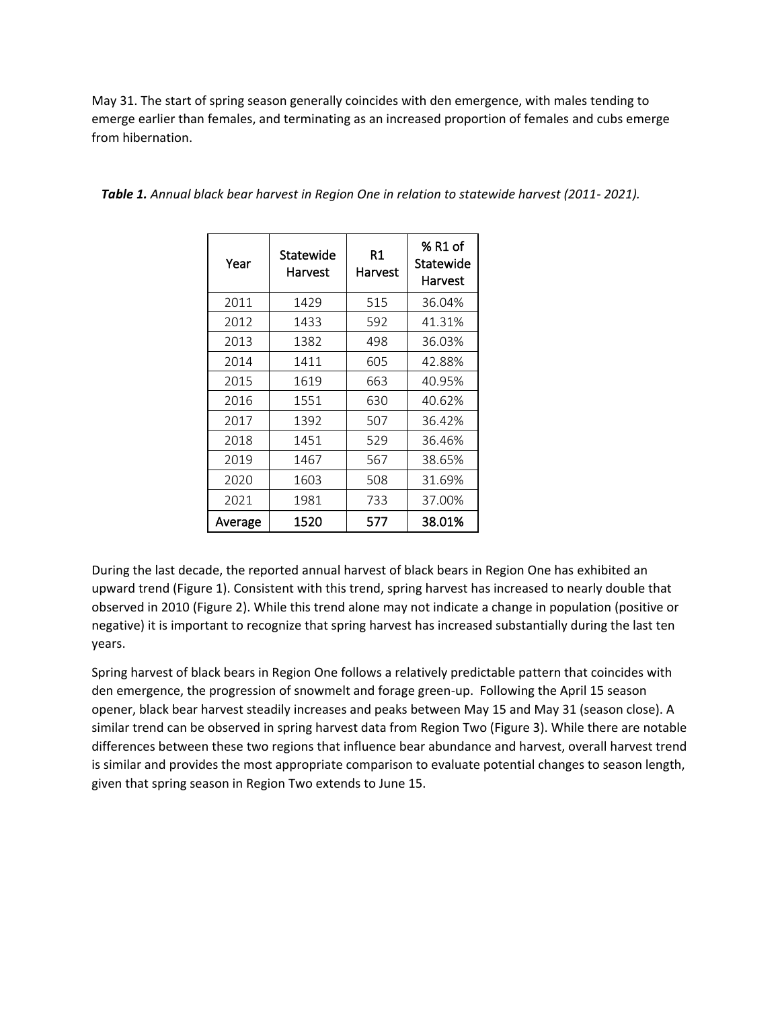May 31. The start of spring season generally coincides with den emergence, with males tending to emerge earlier than females, and terminating as an increased proportion of females and cubs emerge from hibernation.

| Year    | Statewide<br>Harvest | R1<br>Harvest | % R1 of<br>Statewide<br>Harvest |
|---------|----------------------|---------------|---------------------------------|
| 2011    | 1429                 | 515           | 36.04%                          |
| 2012    | 1433                 | 592           | 41.31%                          |
| 2013    | 1382                 | 498           | 36.03%                          |
| 2014    | 1411                 | 605           | 42.88%                          |
| 2015    | 1619                 | 663           | 40.95%                          |
| 2016    | 1551                 | 630           | 40.62%                          |
| 2017    | 1392                 | 507           | 36.42%                          |
| 2018    | 1451                 | 529           | 36.46%                          |
| 2019    | 1467                 | 567           | 38.65%                          |
| 2020    | 1603                 | 508           | 31.69%                          |
| 2021    | 1981                 | 733           | 37.00%                          |
| Average | 1520                 | 577           | 38.01%                          |

*Table 1. Annual black bear harvest in Region One in relation to statewide harvest (2011- 2021).* 

During the last decade, the reported annual harvest of black bears in Region One has exhibited an upward trend (Figure 1). Consistent with this trend, spring harvest has increased to nearly double that observed in 2010 (Figure 2). While this trend alone may not indicate a change in population (positive or negative) it is important to recognize that spring harvest has increased substantially during the last ten years.

Spring harvest of black bears in Region One follows a relatively predictable pattern that coincides with den emergence, the progression of snowmelt and forage green-up. Following the April 15 season opener, black bear harvest steadily increases and peaks between May 15 and May 31 (season close). A similar trend can be observed in spring harvest data from Region Two (Figure 3). While there are notable differences between these two regions that influence bear abundance and harvest, overall harvest trend is similar and provides the most appropriate comparison to evaluate potential changes to season length, given that spring season in Region Two extends to June 15.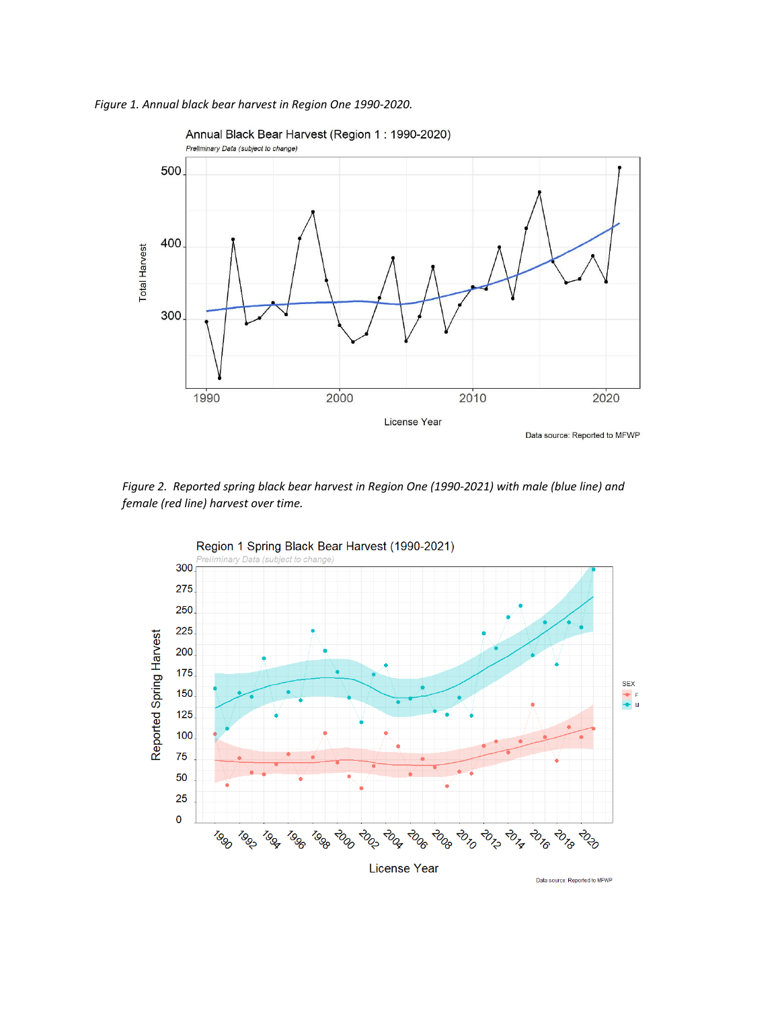



*Figure 2. Reported spring black bear harvest in Region One (1990-2021) with male (blue line) and female (red line) harvest over time.*



Data source: Reported to MFWP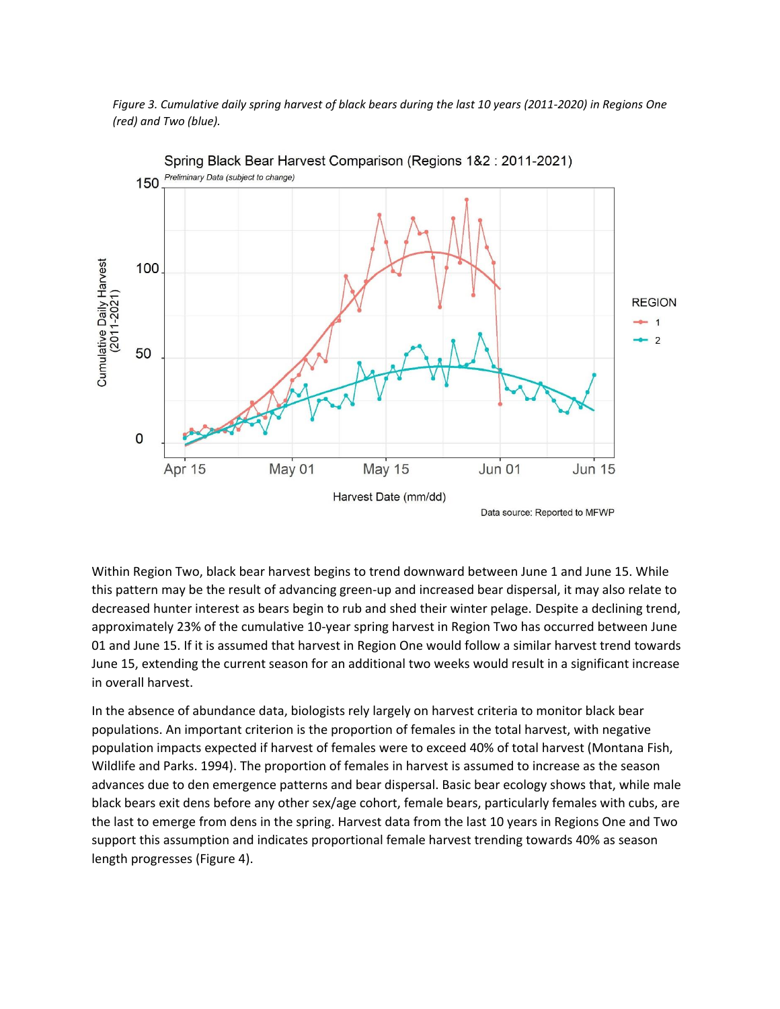



Spring Black Bear Harvest Comparison (Regions 1&2: 2011-2021)

Within Region Two, black bear harvest begins to trend downward between June 1 and June 15. While this pattern may be the result of advancing green-up and increased bear dispersal, it may also relate to decreased hunter interest as bears begin to rub and shed their winter pelage. Despite a declining trend, approximately 23% of the cumulative 10-year spring harvest in Region Two has occurred between June 01 and June 15. If it is assumed that harvest in Region One would follow a similar harvest trend towards June 15, extending the current season for an additional two weeks would result in a significant increase in overall harvest.

In the absence of abundance data, biologists rely largely on harvest criteria to monitor black bear populations. An important criterion is the proportion of females in the total harvest, with negative population impacts expected if harvest of females were to exceed 40% of total harvest (Montana Fish, Wildlife and Parks. 1994). The proportion of females in harvest is assumed to increase as the season advances due to den emergence patterns and bear dispersal. Basic bear ecology shows that, while male black bears exit dens before any other sex/age cohort, female bears, particularly females with cubs, are the last to emerge from dens in the spring. Harvest data from the last 10 years in Regions One and Two support this assumption and indicates proportional female harvest trending towards 40% as season length progresses (Figure 4).